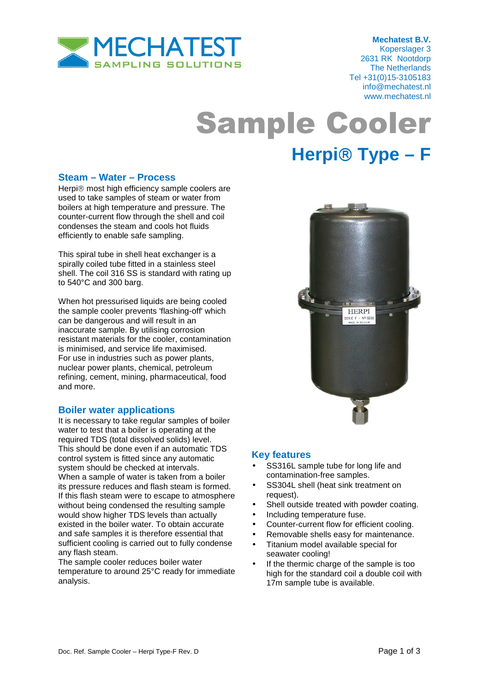

 **Mechatest B.V.**  Koperslager 3 2631 RK Nootdorp The Netherlands Tel +31(0)15-3105183 info@mechatest.nl www.mechatest.nl

# Sample Cooler **Herpi Type – F**

#### **Steam – Water – Process**

Herpi® most high efficiency sample coolers are used to take samples of steam or water from boilers at high temperature and pressure. The counter-current flow through the shell and coil condenses the steam and cools hot fluids efficiently to enable safe sampling.

This spiral tube in shell heat exchanger is a spirally coiled tube fitted in a stainless steel shell. The coil 316 SS is standard with rating up to 540°C and 300 barg.

When hot pressurised liquids are being cooled the sample cooler prevents 'flashing-off' which can be dangerous and will result in an inaccurate sample. By utilising corrosion resistant materials for the cooler, contamination is minimised, and service life maximised. For use in industries such as power plants, nuclear power plants, chemical, petroleum refining, cement, mining, pharmaceutical, food and more.

### **Boiler water applications**

It is necessary to take regular samples of boiler water to test that a boiler is operating at the required TDS (total dissolved solids) level. This should be done even if an automatic TDS control system is fitted since any automatic system should be checked at intervals. When a sample of water is taken from a boiler its pressure reduces and flash steam is formed. If this flash steam were to escape to atmosphere without being condensed the resulting sample would show higher TDS levels than actually existed in the boiler water. To obtain accurate and safe samples it is therefore essential that sufficient cooling is carried out to fully condense any flash steam.

The sample cooler reduces boiler water temperature to around 25°C ready for immediate analysis.



### **Key features**

- SS316L sample tube for long life and contamination-free samples.
- SS304L shell (heat sink treatment on request).
- Shell outside treated with powder coating.
- Including temperature fuse.
- Counter-current flow for efficient cooling.
- Removable shells easy for maintenance.
- Titanium model available special for seawater cooling!
- If the thermic charge of the sample is too high for the standard coil a double coil with 17m sample tube is available.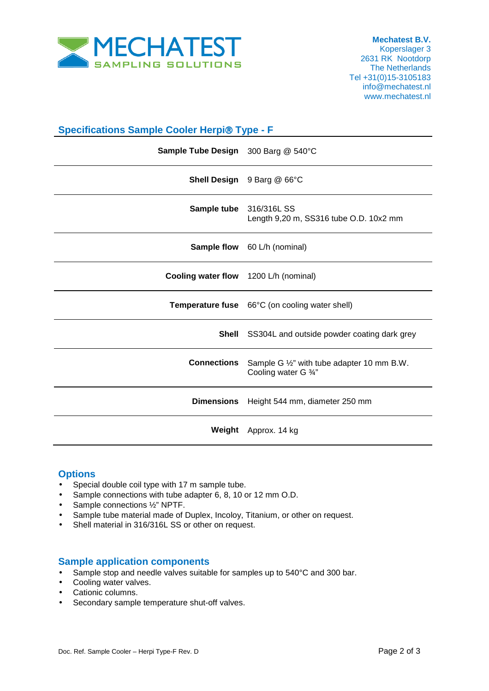

 **Mechatest B.V.**  Koperslager 3 2631 RK Nootdorp The Netherlands Tel +31(0)15-3105183 info@mechatest.nl www.mechatest.nl

| <b>Specifications Sample Cooler Herpi® Type - F</b> |                                                                    |
|-----------------------------------------------------|--------------------------------------------------------------------|
| Sample Tube Design 300 Barg @ 540°C                 |                                                                    |
|                                                     | Shell Design 9 Barg @ 66°C                                         |
| Sample tube                                         | 316/316LSS<br>Length 9,20 m, SS316 tube O.D. 10x2 mm               |
|                                                     | <b>Sample flow</b> 60 L/h (nominal)                                |
| Cooling water flow 1200 L/h (nominal)               |                                                                    |
|                                                     | <b>Temperature fuse</b> 66°C (on cooling water shell)              |
| <b>Shell</b>                                        | SS304L and outside powder coating dark grey                        |
| <b>Connections</b>                                  | Sample G 1/2" with tube adapter 10 mm B.W.<br>Cooling water G 3/4" |
| <b>Dimensions</b>                                   | Height 544 mm, diameter 250 mm                                     |
| Weight                                              | Approx. 14 kg                                                      |

### **Options**

- Special double coil type with 17 m sample tube.
- Sample connections with tube adapter 6, 8, 10 or 12 mm O.D.
- Sample connections 1/2" NPTF.
- Sample tube material made of Duplex, Incoloy, Titanium, or other on request.
- Shell material in 316/316L SS or other on request.

#### **Sample application components**

- Sample stop and needle valves suitable for samples up to 540°C and 300 bar.
- Cooling water valves.
- Cationic columns.
- Secondary sample temperature shut-off valves.